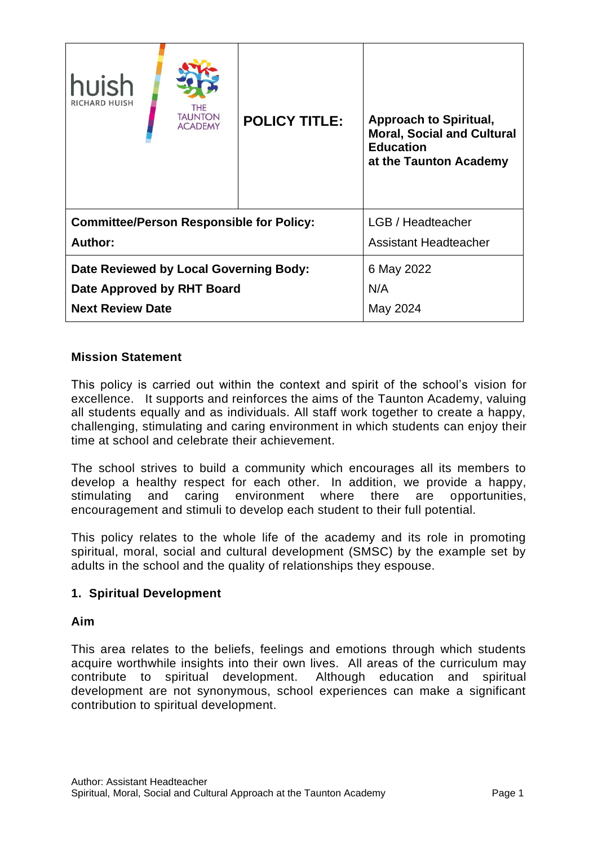| huish<br>RICHARD HUISH                          | <b>THE</b><br><b>TAUNTON</b><br><b>ACADEMY</b> | <b>POLICY TITLE:</b> | <b>Approach to Spiritual,</b><br><b>Moral, Social and Cultural</b><br><b>Education</b><br>at the Taunton Academy |
|-------------------------------------------------|------------------------------------------------|----------------------|------------------------------------------------------------------------------------------------------------------|
| <b>Committee/Person Responsible for Policy:</b> |                                                |                      | LGB / Headteacher                                                                                                |
| Author:                                         |                                                |                      | <b>Assistant Headteacher</b>                                                                                     |
| Date Reviewed by Local Governing Body:          |                                                |                      | 6 May 2022                                                                                                       |
| Date Approved by RHT Board                      |                                                |                      | N/A                                                                                                              |
| <b>Next Review Date</b>                         |                                                |                      | May 2024                                                                                                         |

## **Mission Statement**

This policy is carried out within the context and spirit of the school's vision for excellence. It supports and reinforces the aims of the Taunton Academy, valuing all students equally and as individuals. All staff work together to create a happy, challenging, stimulating and caring environment in which students can enjoy their time at school and celebrate their achievement.

The school strives to build a community which encourages all its members to develop a healthy respect for each other. In addition, we provide a happy, stimulating and caring environment where there are opportunities, encouragement and stimuli to develop each student to their full potential.

This policy relates to the whole life of the academy and its role in promoting spiritual, moral, social and cultural development (SMSC) by the example set by adults in the school and the quality of relationships they espouse.

#### **1. Spiritual Development**

#### **Aim**

This area relates to the beliefs, feelings and emotions through which students acquire worthwhile insights into their own lives. All areas of the curriculum may contribute to spiritual development. Although education and spiritual development are not synonymous, school experiences can make a significant contribution to spiritual development.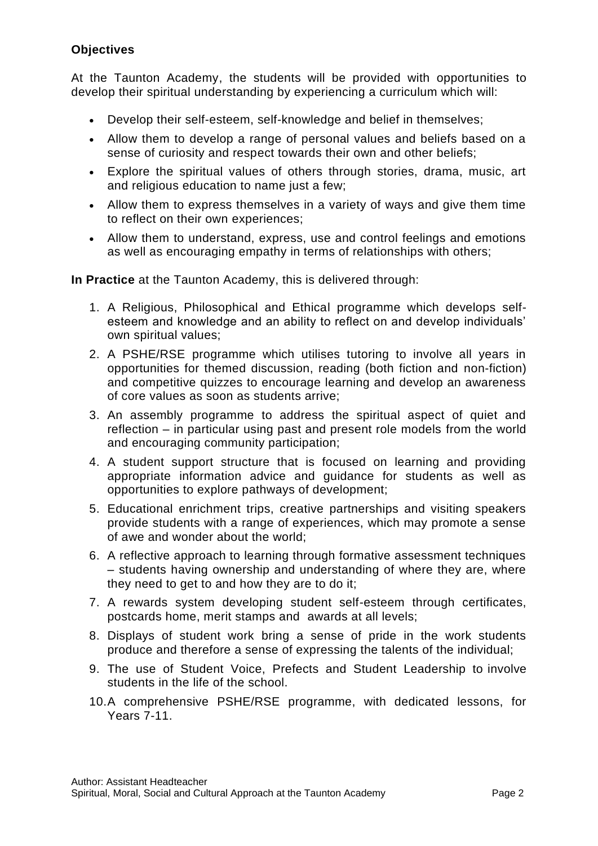# **Objectives**

At the Taunton Academy, the students will be provided with opportunities to develop their spiritual understanding by experiencing a curriculum which will:

- Develop their self-esteem, self-knowledge and belief in themselves;
- Allow them to develop a range of personal values and beliefs based on a sense of curiosity and respect towards their own and other beliefs;
- Explore the spiritual values of others through stories, drama, music, art and religious education to name just a few;
- Allow them to express themselves in a variety of ways and give them time to reflect on their own experiences;
- Allow them to understand, express, use and control feelings and emotions as well as encouraging empathy in terms of relationships with others;

**In Practice** at the Taunton Academy, this is delivered through:

- 1. A Religious, Philosophical and Ethical programme which develops selfesteem and knowledge and an ability to reflect on and develop individuals' own spiritual values;
- 2. A PSHE/RSE programme which utilises tutoring to involve all years in opportunities for themed discussion, reading (both fiction and non-fiction) and competitive quizzes to encourage learning and develop an awareness of core values as soon as students arrive;
- 3. An assembly programme to address the spiritual aspect of quiet and reflection – in particular using past and present role models from the world and encouraging community participation;
- 4. A student support structure that is focused on learning and providing appropriate information advice and guidance for students as well as opportunities to explore pathways of development;
- 5. Educational enrichment trips, creative partnerships and visiting speakers provide students with a range of experiences, which may promote a sense of awe and wonder about the world;
- 6. A reflective approach to learning through formative assessment techniques – students having ownership and understanding of where they are, where they need to get to and how they are to do it;
- 7. A rewards system developing student self-esteem through certificates, postcards home, merit stamps and awards at all levels;
- 8. Displays of student work bring a sense of pride in the work students produce and therefore a sense of expressing the talents of the individual;
- 9. The use of Student Voice, Prefects and Student Leadership to involve students in the life of the school.
- 10.A comprehensive PSHE/RSE programme, with dedicated lessons, for Years 7-11.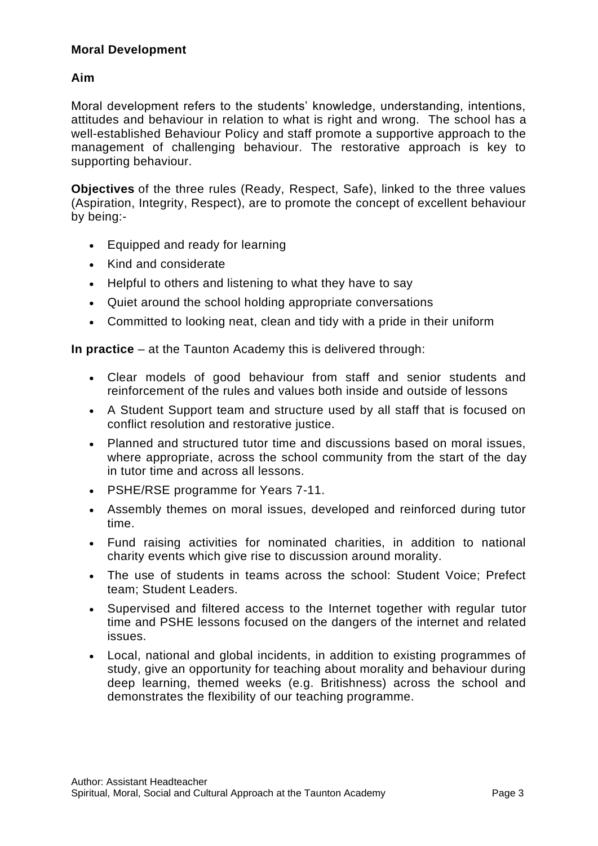## **Moral Development**

# **Aim**

Moral development refers to the students' knowledge, understanding, intentions, attitudes and behaviour in relation to what is right and wrong. The school has a well-established Behaviour Policy and staff promote a supportive approach to the management of challenging behaviour. The restorative approach is key to supporting behaviour.

**Objectives** of the three rules (Ready, Respect, Safe), linked to the three values (Aspiration, Integrity, Respect), are to promote the concept of excellent behaviour by being:-

- Equipped and ready for learning
- Kind and considerate
- Helpful to others and listening to what they have to say
- Quiet around the school holding appropriate conversations
- Committed to looking neat, clean and tidy with a pride in their uniform

**In practice** – at the Taunton Academy this is delivered through:

- Clear models of good behaviour from staff and senior students and reinforcement of the rules and values both inside and outside of lessons
- A Student Support team and structure used by all staff that is focused on conflict resolution and restorative justice.
- Planned and structured tutor time and discussions based on moral issues, where appropriate, across the school community from the start of the day in tutor time and across all lessons.
- PSHE/RSE programme for Years 7-11.
- Assembly themes on moral issues, developed and reinforced during tutor time.
- Fund raising activities for nominated charities, in addition to national charity events which give rise to discussion around morality.
- The use of students in teams across the school: Student Voice; Prefect team; Student Leaders.
- Supervised and filtered access to the Internet together with regular tutor time and PSHE lessons focused on the dangers of the internet and related issues.
- Local, national and global incidents, in addition to existing programmes of study, give an opportunity for teaching about morality and behaviour during deep learning, themed weeks (e.g. Britishness) across the school and demonstrates the flexibility of our teaching programme.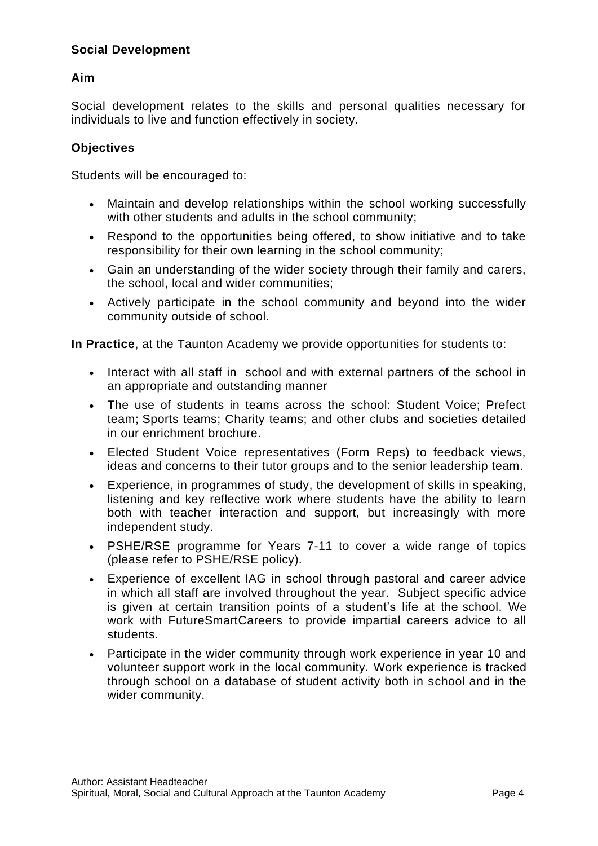# **Social Development**

## **Aim**

Social development relates to the skills and personal qualities necessary for individuals to live and function effectively in society.

#### **Objectives**

Students will be encouraged to:

- Maintain and develop relationships within the school working successfully with other students and adults in the school community;
- Respond to the opportunities being offered, to show initiative and to take responsibility for their own learning in the school community;
- Gain an understanding of the wider society through their family and carers, the school, local and wider communities;
- Actively participate in the school community and beyond into the wider community outside of school.

**In Practice**, at the Taunton Academy we provide opportunities for students to:

- Interact with all staff in school and with external partners of the school in an appropriate and outstanding manner
- The use of students in teams across the school: Student Voice; Prefect team; Sports teams; Charity teams; and other clubs and societies detailed in our enrichment brochure.
- Elected Student Voice representatives (Form Reps) to feedback views, ideas and concerns to their tutor groups and to the senior leadership team.
- Experience, in programmes of study, the development of skills in speaking, listening and key reflective work where students have the ability to learn both with teacher interaction and support, but increasingly with more independent study.
- PSHE/RSE programme for Years 7-11 to cover a wide range of topics (please refer to PSHE/RSE policy).
- Experience of excellent IAG in school through pastoral and career advice in which all staff are involved throughout the year. Subject specific advice is given at certain transition points of a student's life at the school. We work with FutureSmartCareers to provide impartial careers advice to all students.
- Participate in the wider community through work experience in year 10 and volunteer support work in the local community. Work experience is tracked through school on a database of student activity both in school and in the wider community.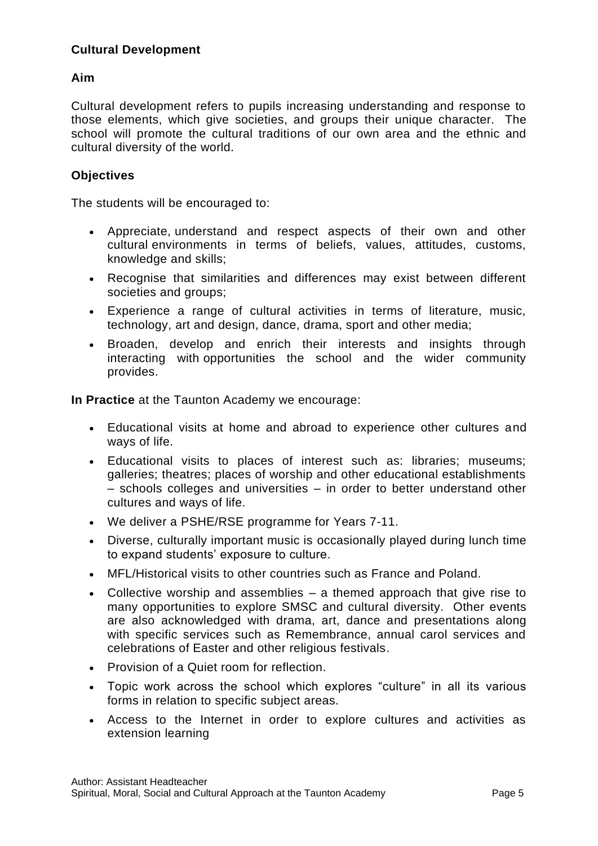# **Cultural Development**

# **Aim**

Cultural development refers to pupils increasing understanding and response to those elements, which give societies, and groups their unique character. The school will promote the cultural traditions of our own area and the ethnic and cultural diversity of the world.

## **Objectives**

The students will be encouraged to:

- Appreciate, understand and respect aspects of their own and other cultural environments in terms of beliefs, values, attitudes, customs, knowledge and skills;
- Recognise that similarities and differences may exist between different societies and groups;
- Experience a range of cultural activities in terms of literature, music, technology, art and design, dance, drama, sport and other media;
- Broaden, develop and enrich their interests and insights through interacting with opportunities the school and the wider community provides.

**In Practice** at the Taunton Academy we encourage:

- Educational visits at home and abroad to experience other cultures and ways of life.
- Educational visits to places of interest such as: libraries; museums; galleries; theatres; places of worship and other educational establishments – schools colleges and universities – in order to better understand other cultures and ways of life.
- We deliver a PSHE/RSE programme for Years 7-11.
- Diverse, culturally important music is occasionally played during lunch time to expand students' exposure to culture.
- MFL/Historical visits to other countries such as France and Poland.
- Collective worship and assemblies a themed approach that give rise to many opportunities to explore SMSC and cultural diversity. Other events are also acknowledged with drama, art, dance and presentations along with specific services such as Remembrance, annual carol services and celebrations of Easter and other religious festivals.
- Provision of a Quiet room for reflection.
- Topic work across the school which explores "culture" in all its various forms in relation to specific subject areas.
- Access to the Internet in order to explore cultures and activities as extension learning